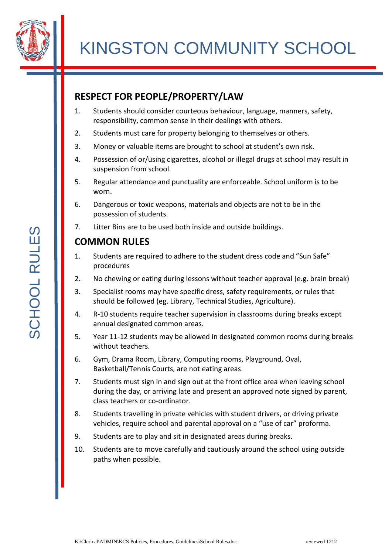

## **RESPECT FOR PEOPLE/PROPERTY/LAW**

- 1. Students should consider courteous behaviour, language, manners, safety, responsibility, common sense in their dealings with others.
- 2. Students must care for property belonging to themselves or others.
- 3. Money or valuable items are brought to school at student's own risk.
- 4. Possession of or/using cigarettes, alcohol or illegal drugs at school may result in suspension from school.
- 5. Regular attendance and punctuality are enforceable. School uniform is to be worn.
- 6. Dangerous or toxic weapons, materials and objects are not to be in the possession of students.
- 7. Litter Bins are to be used both inside and outside buildings.

## **COMMON RULES**

- 1. Students are required to adhere to the student dress code and "Sun Safe" procedures
- 2. No chewing or eating during lessons without teacher approval (e.g. brain break)
- 3. Specialist rooms may have specific dress, safety requirements, or rules that should be followed (eg. Library, Technical Studies, Agriculture).
- 4. R-10 students require teacher supervision in classrooms during breaks except annual designated common areas.
- 5. Year 11-12 students may be allowed in designated common rooms during breaks without teachers.
- 6. Gym, Drama Room, Library, Computing rooms, Playground, Oval, Basketball/Tennis Courts, are not eating areas.
- 7. Students must sign in and sign out at the front office area when leaving school during the day, or arriving late and present an approved note signed by parent, class teachers or co-ordinator.
- 8. Students travelling in private vehicles with student drivers, or driving private vehicles, require school and parental approval on a "use of car" proforma.
- 9. Students are to play and sit in designated areas during breaks.
- 10. Students are to move carefully and cautiously around the school using outside paths when possible.